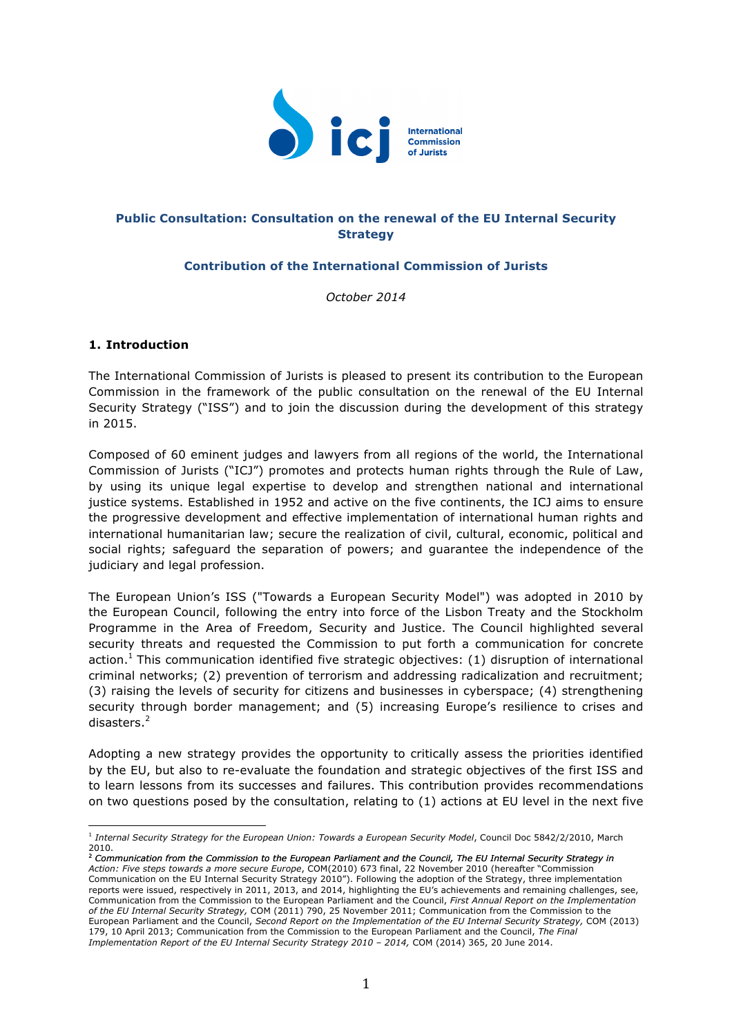

# **Public Consultation: Consultation on the renewal of the EU Internal Security Strategy**

# **Contribution of the International Commission of Jurists**

*October 2014*

## **1. Introduction**

The International Commission of Jurists is pleased to present its contribution to the European Commission in the framework of the public consultation on the renewal of the EU Internal Security Strategy ("ISS") and to join the discussion during the development of this strategy in 2015.

Composed of 60 eminent judges and lawyers from all regions of the world, the International Commission of Jurists ("ICJ") promotes and protects human rights through the Rule of Law, by using its unique legal expertise to develop and strengthen national and international justice systems. Established in 1952 and active on the five continents, the ICJ aims to ensure the progressive development and effective implementation of international human rights and international humanitarian law; secure the realization of civil, cultural, economic, political and social rights; safeguard the separation of powers; and guarantee the independence of the judiciary and legal profession.

The European Union's ISS ("Towards a European Security Model") was adopted in 2010 by the European Council, following the entry into force of the Lisbon Treaty and the Stockholm Programme in the Area of Freedom, Security and Justice. The Council highlighted several security threats and requested the Commission to put forth a communication for concrete action.<sup>1</sup> This communication identified five strategic objectives: (1) disruption of international criminal networks; (2) prevention of terrorism and addressing radicalization and recruitment; (3) raising the levels of security for citizens and businesses in cyberspace; (4) strengthening security through border management; and (5) increasing Europe's resilience to crises and disasters.<sup>2</sup>

Adopting a new strategy provides the opportunity to critically assess the priorities identified by the EU, but also to re-evaluate the foundation and strategic objectives of the first ISS and to learn lessons from its successes and failures. This contribution provides recommendations on two questions posed by the consultation, relating to (1) actions at EU level in the next five

 <sup>1</sup> Internal Security Strategy for the European Union: Towards a European Security Model, Council Doc 5842/2/2010, March 2010. <sup>2</sup> *Communication from the Commission to the European Parliament and the Council, The EU Internal Security Strategy in* 

*Action: Five steps towards a more secure Europe*, COM(2010) 673 final, 22 November 2010 (hereafter "Commission Communication on the EU Internal Security Strategy 2010"). Following the adoption of the Strategy, three implementation reports were issued, respectively in 2011, 2013, and 2014, highlighting the EU's achievements and remaining challenges, see, Communication from the Commission to the European Parliament and the Council, *First Annual Report on the Implementation of the EU Internal Security Strategy,* COM (2011) 790, 25 November 2011; Communication from the Commission to the European Parliament and the Council, *Second Report on the Implementation of the EU Internal Security Strategy,* COM (2013) 179, 10 April 2013; Communication from the Commission to the European Parliament and the Council, *The Final Implementation Report of the EU Internal Security Strategy 2010 – 2014,* COM (2014) 365, 20 June 2014.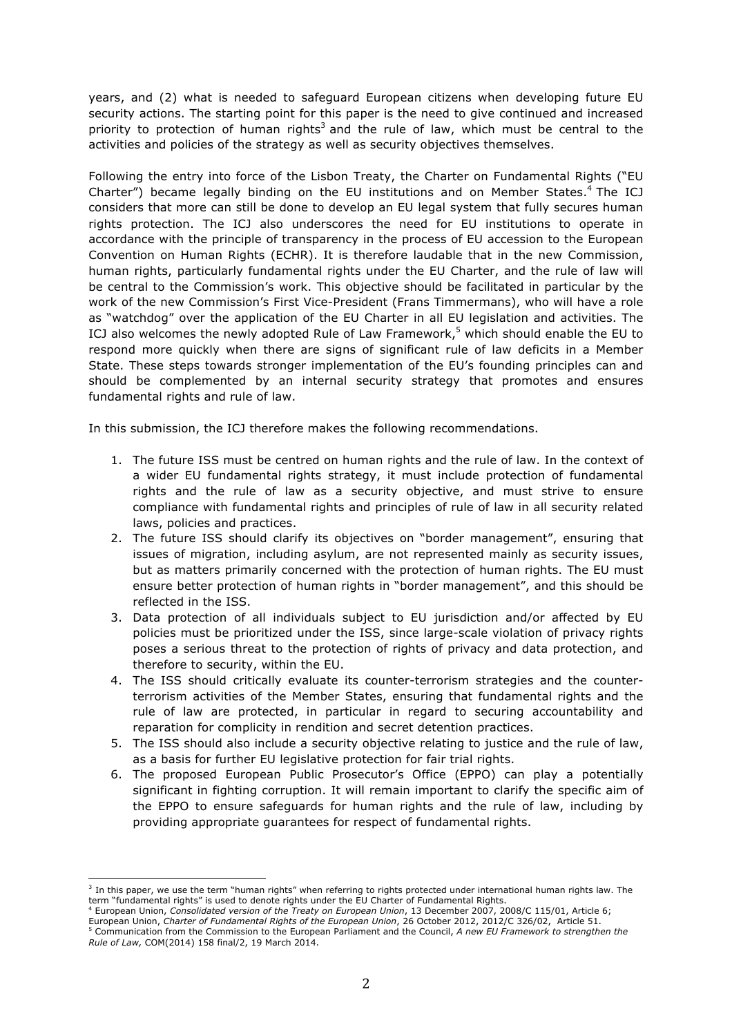years, and (2) what is needed to safeguard European citizens when developing future EU security actions. The starting point for this paper is the need to give continued and increased priority to protection of human rights<sup>3</sup> and the rule of law, which must be central to the activities and policies of the strategy as well as security objectives themselves.

Following the entry into force of the Lisbon Treaty, the Charter on Fundamental Rights ("EU Charter") became legally binding on the EU institutions and on Member States.<sup>4</sup> The ICJ considers that more can still be done to develop an EU legal system that fully secures human rights protection. The ICJ also underscores the need for EU institutions to operate in accordance with the principle of transparency in the process of EU accession to the European Convention on Human Rights (ECHR). It is therefore laudable that in the new Commission, human rights, particularly fundamental rights under the EU Charter, and the rule of law will be central to the Commission's work. This objective should be facilitated in particular by the work of the new Commission's First Vice-President (Frans Timmermans), who will have a role as "watchdog" over the application of the EU Charter in all EU legislation and activities. The ICJ also welcomes the newly adopted Rule of Law Framework,<sup>5</sup> which should enable the EU to respond more quickly when there are signs of significant rule of law deficits in a Member State. These steps towards stronger implementation of the EU's founding principles can and should be complemented by an internal security strategy that promotes and ensures fundamental rights and rule of law.

In this submission, the ICJ therefore makes the following recommendations.

- 1. The future ISS must be centred on human rights and the rule of law. In the context of a wider EU fundamental rights strategy, it must include protection of fundamental rights and the rule of law as a security objective, and must strive to ensure compliance with fundamental rights and principles of rule of law in all security related laws, policies and practices.
- 2. The future ISS should clarify its objectives on "border management", ensuring that issues of migration, including asylum, are not represented mainly as security issues, but as matters primarily concerned with the protection of human rights. The EU must ensure better protection of human rights in "border management", and this should be reflected in the ISS.
- 3. Data protection of all individuals subject to EU jurisdiction and/or affected by EU policies must be prioritized under the ISS, since large-scale violation of privacy rights poses a serious threat to the protection of rights of privacy and data protection, and therefore to security, within the EU.
- 4. The ISS should critically evaluate its counter-terrorism strategies and the counterterrorism activities of the Member States, ensuring that fundamental rights and the rule of law are protected, in particular in regard to securing accountability and reparation for complicity in rendition and secret detention practices.
- 5. The ISS should also include a security objective relating to justice and the rule of law, as a basis for further EU legislative protection for fair trial rights.
- 6. The proposed European Public Prosecutor's Office (EPPO) can play a potentially significant in fighting corruption. It will remain important to clarify the specific aim of the EPPO to ensure safeguards for human rights and the rule of law, including by providing appropriate guarantees for respect of fundamental rights.

 $3$  In this paper, we use the term "human rights" when referring to rights protected under international human rights law. The term "fundamental rights" is used to denote rights under the EU Charter of Fundamental Rights.

<sup>4</sup> European Union, *Consolidated version of the Treaty on European Union*, 13 December 2007, 2008/C 115/01, Article 6; European Union, Charter of Fundamental Rights of the European Union, 26 October 2012, 2012/C 326/02, Article 51.<br><sup>5</sup> Communication from the Commission to the European Union, 26 October 2012, 2012/C 326/02, Article 51.

*Rule of Law,* COM(2014) 158 final/2, 19 March 2014.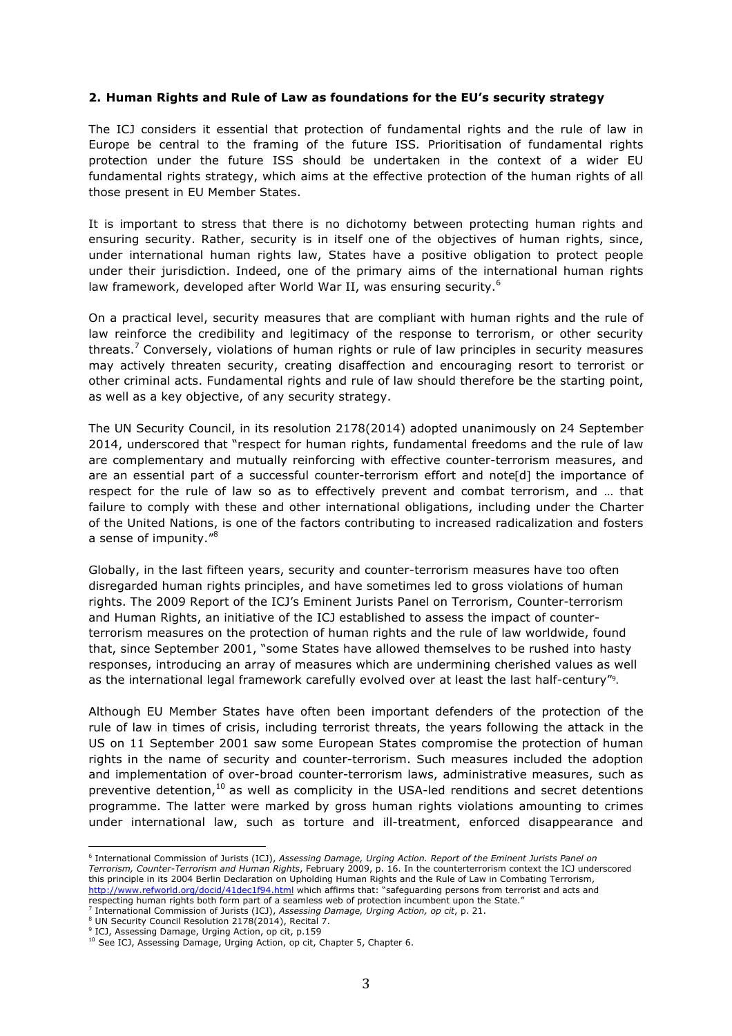### **2. Human Rights and Rule of Law as foundations for the EU's security strategy**

The ICJ considers it essential that protection of fundamental rights and the rule of law in Europe be central to the framing of the future ISS*.* Prioritisation of fundamental rights protection under the future ISS should be undertaken in the context of a wider EU fundamental rights strategy, which aims at the effective protection of the human rights of all those present in EU Member States.

It is important to stress that there is no dichotomy between protecting human rights and ensuring security. Rather, security is in itself one of the objectives of human rights, since, under international human rights law, States have a positive obligation to protect people under their jurisdiction. Indeed, one of the primary aims of the international human rights law framework, developed after World War II, was ensuring security.<sup>6</sup>

On a practical level, security measures that are compliant with human rights and the rule of law reinforce the credibility and legitimacy of the response to terrorism, or other security threats.<sup>7</sup> Conversely, violations of human rights or rule of law principles in security measures may actively threaten security, creating disaffection and encouraging resort to terrorist or other criminal acts. Fundamental rights and rule of law should therefore be the starting point, as well as a key objective, of any security strategy.

The UN Security Council, in its resolution 2178(2014) adopted unanimously on 24 September 2014, underscored that "respect for human rights, fundamental freedoms and the rule of law are complementary and mutually reinforcing with effective counter-terrorism measures, and are an essential part of a successful counter-terrorism effort and note[d] the importance of respect for the rule of law so as to effectively prevent and combat terrorism, and … that failure to comply with these and other international obligations, including under the Charter of the United Nations, is one of the factors contributing to increased radicalization and fosters a sense of impunity."<sup>8</sup>

Globally, in the last fifteen years, security and counter-terrorism measures have too often disregarded human rights principles, and have sometimes led to gross violations of human rights. The 2009 Report of the ICJ's Eminent Jurists Panel on Terrorism, Counter-terrorism and Human Rights, an initiative of the ICJ established to assess the impact of counterterrorism measures on the protection of human rights and the rule of law worldwide, found that, since September 2001, "some States have allowed themselves to be rushed into hasty responses, introducing an array of measures which are undermining cherished values as well as the international legal framework carefully evolved over at least the last half-century".

Although EU Member States have often been important defenders of the protection of the rule of law in times of crisis, including terrorist threats, the years following the attack in the US on 11 September 2001 saw some European States compromise the protection of human rights in the name of security and counter-terrorism. Such measures included the adoption and implementation of over-broad counter-terrorism laws, administrative measures, such as preventive detention, $10$  as well as complicity in the USA-led renditions and secret detentions programme. The latter were marked by gross human rights violations amounting to crimes under international law, such as torture and ill-treatment, enforced disappearance and

<sup>6</sup> International Commission of Jurists (ICJ), *Assessing Damage, Urging Action. Report of the Eminent Jurists Panel on Terrorism, Counter-Terrorism and Human Rights*, February 2009, p. 16. In the counterterrorism context the ICJ underscored this principle in its 2004 Berlin Declaration on Upholding Human Rights and the Rule of Law in Combating Terrorism, http://www.refworld.org/docid/41dec1f94.html which affirms that: "safeguarding persons from terrorist and acts and respecting human rights both form part of a seamless web of protection incumbent upon the State."

<sup>&</sup>lt;sup>7</sup> International Commission of Jurists (ICJ), *Assessing Damage, Urging Action, op cit*, p. 21.<br><sup>8</sup> UN Security Council Resolution 2178(2014), Recital 7.

<sup>&</sup>lt;sup>9</sup> ICJ, Assessing Damage, Urging Action, op cit, p.159

<sup>&</sup>lt;sup>10</sup> See ICJ, Assessing Damage, Urging Action, op cit, Chapter 5, Chapter 6.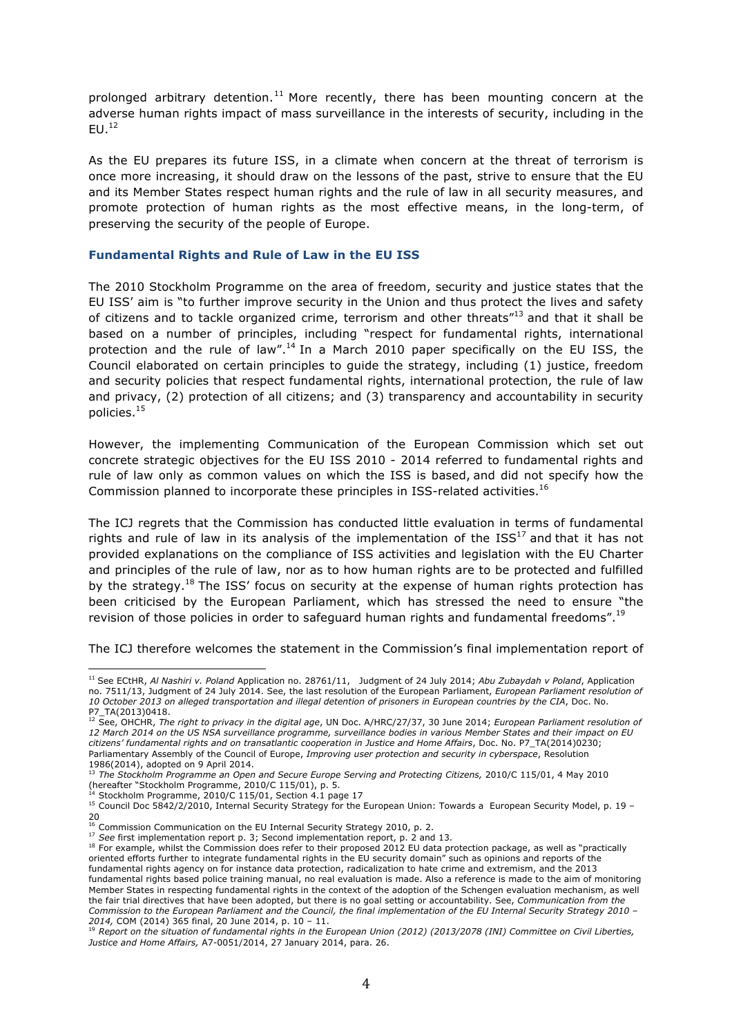prolonged arbitrary detention.<sup>11</sup> More recently, there has been mounting concern at the adverse human rights impact of mass surveillance in the interests of security, including in the  $EU.<sup>12</sup>$ 

As the EU prepares its future ISS, in a climate when concern at the threat of terrorism is once more increasing, it should draw on the lessons of the past, strive to ensure that the EU and its Member States respect human rights and the rule of law in all security measures, and promote protection of human rights as the most effective means, in the long-term, of preserving the security of the people of Europe.

#### **Fundamental Rights and Rule of Law in the EU ISS**

The 2010 Stockholm Programme on the area of freedom, security and justice states that the EU ISS' aim is "to further improve security in the Union and thus protect the lives and safety of citizens and to tackle organized crime, terrorism and other threats"<sup>13</sup> and that it shall be based on a number of principles, including "respect for fundamental rights, international protection and the rule of law".<sup>14</sup> In a March 2010 paper specifically on the EU ISS, the Council elaborated on certain principles to guide the strategy, including (1) justice, freedom and security policies that respect fundamental rights, international protection, the rule of law and privacy, (2) protection of all citizens; and (3) transparency and accountability in security policies.15

However, the implementing Communication of the European Commission which set out concrete strategic objectives for the EU ISS 2010 - 2014 referred to fundamental rights and rule of law only as common values on which the ISS is based, and did not specify how the Commission planned to incorporate these principles in ISS-related activities.<sup>16</sup>

The ICJ regrets that the Commission has conducted little evaluation in terms of fundamental rights and rule of law in its analysis of the implementation of the  $ISS<sup>17</sup>$  and that it has not provided explanations on the compliance of ISS activities and legislation with the EU Charter and principles of the rule of law, nor as to how human rights are to be protected and fulfilled by the strategy.<sup>18</sup> The ISS' focus on security at the expense of human rights protection has been criticised by the European Parliament, which has stressed the need to ensure "the revision of those policies in order to safeguard human rights and fundamental freedoms".<sup>19</sup>

The ICJ therefore welcomes the statement in the Commission's final implementation report of

 <sup>11</sup> See ECtHR, *Al Nashiri v. Poland* Application no. 28761/11, Judgment of 24 July 2014; *Abu Zubaydah v Poland*, Application no. 7511/13, Judgment of 24 July 2014. See, the last resolution of the European Parliament, *European Parliament resolution of 10 October 2013 on alleged transportation and illegal detention of prisoners in European countries by the CIA*, Doc. No.

P7\_TA(2013)0418. <sup>12</sup> See, OHCHR, *The right to privacy in the digital age*, UN Doc. A/HRC/27/37, 30 June 2014; *European Parliament resolution of 12 March 2014 on the US NSA surveillance programme, surveillance bodies in various Member States and their impact on EU citizens' fundamental rights and on transatlantic cooperation in Justice and Home Affairs*, Doc. No. P7\_TA(2014)0230; Parliamentary Assembly of the Council of Europe, *Improving user protection and security in cyberspace*, Resolution 1986(2014), adopted on 9 April 2014.

<sup>13</sup> *The Stockholm Programme an Open and Secure Europe Serving and Protecting Citizens,* 2010/C 115/01, 4 May 2010 (hereafter "Stockholm Programme, 2010/C 115/01), p. 5.

 $14$  Stockholm Programme, 2010/C 115/01, Section 4.1 page 17<br><sup>15</sup> Council Doc 5842/2/2010, Internal Security Strategy for the European Union: Towards a European Security Model, p. 19 – 20<br><sup>16</sup> Commission Communication on the EU Internal Security Strategy 2010, p. 2.

<sup>17</sup> See first implementation report p. 3; Second implementation report, p. 2 and 13.<br><sup>18</sup> For example, whilst the Commission does refer to their proposed 2012 EU data protection package, as well as "practically oriented efforts further to integrate fundamental rights in the EU security domain" such as opinions and reports of the fundamental rights agency on for instance data protection, radicalization to hate crime and extremism, and the 2013 fundamental rights based police training manual, no real evaluation is made. Also a reference is made to the aim of monitoring Member States in respecting fundamental rights in the context of the adoption of the Schengen evaluation mechanism, as well the fair trial directives that have been adopted, but there is no goal setting or accountability. See, *Communication from the Commission to the European Parliament and the Council, the final implementation of the EU Internal Security Strategy 2010 – 2014, COM (2014) 365 final, 20 June 2014, p. 10 – 11.*<br><sup>19</sup> Report on the situation of fundamental rights in the European Union (2012) (2013/2078 (INI) Committee on Civil Liberties,

*Justice and Home Affairs,* A7-0051/2014, 27 January 2014, para. 26.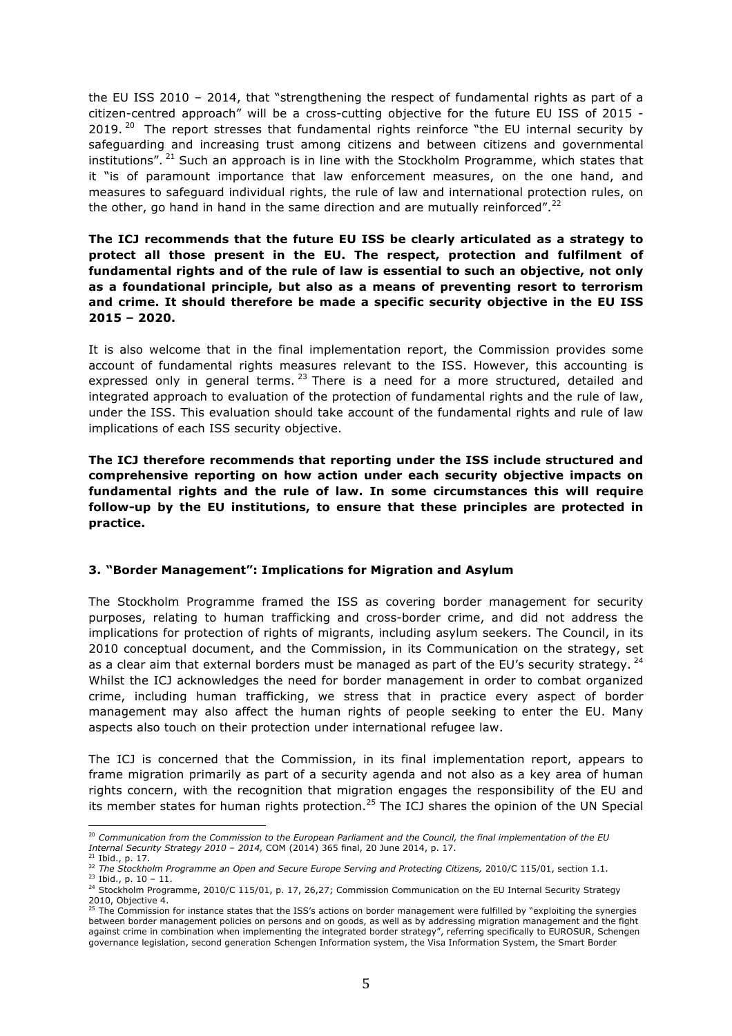the EU ISS 2010 – 2014, that "strengthening the respect of fundamental rights as part of a citizen-centred approach" will be a cross-cutting objective for the future EU ISS of 2015 - 2019. <sup>20</sup> The report stresses that fundamental rights reinforce "the EU internal security by safeguarding and increasing trust among citizens and between citizens and governmental institutions". <sup>21</sup> Such an approach is in line with the Stockholm Programme, which states that it "is of paramount importance that law enforcement measures, on the one hand, and measures to safeguard individual rights, the rule of law and international protection rules, on the other, go hand in hand in the same direction and are mutually reinforced".<sup>22</sup>

# **The ICJ recommends that the future EU ISS be clearly articulated as a strategy to protect all those present in the EU. The respect, protection and fulfilment of fundamental rights and of the rule of law is essential to such an objective, not only as a foundational principle, but also as a means of preventing resort to terrorism and crime. It should therefore be made a specific security objective in the EU ISS 2015 – 2020.**

It is also welcome that in the final implementation report, the Commission provides some account of fundamental rights measures relevant to the ISS. However, this accounting is expressed only in general terms.  $^{23}$  There is a need for a more structured, detailed and integrated approach to evaluation of the protection of fundamental rights and the rule of law, under the ISS. This evaluation should take account of the fundamental rights and rule of law implications of each ISS security objective.

**The ICJ therefore recommends that reporting under the ISS include structured and comprehensive reporting on how action under each security objective impacts on fundamental rights and the rule of law. In some circumstances this will require follow-up by the EU institutions, to ensure that these principles are protected in practice.** 

## **3. "Border Management": Implications for Migration and Asylum**

The Stockholm Programme framed the ISS as covering border management for security purposes, relating to human trafficking and cross-border crime, and did not address the implications for protection of rights of migrants, including asylum seekers. The Council, in its 2010 conceptual document, and the Commission, in its Communication on the strategy, set as a clear aim that external borders must be managed as part of the EU's security strategy.  $^{24}$ Whilst the ICJ acknowledges the need for border management in order to combat organized crime, including human trafficking, we stress that in practice every aspect of border management may also affect the human rights of people seeking to enter the EU. Many aspects also touch on their protection under international refugee law.

The ICJ is concerned that the Commission, in its final implementation report, appears to frame migration primarily as part of a security agenda and not also as a key area of human rights concern, with the recognition that migration engages the responsibility of the EU and its member states for human rights protection.<sup>25</sup> The ICJ shares the opinion of the UN Special

 <sup>20</sup> Communication from the Commission to the European Parliament and the Council, the final implementation of the EU Internal Security Strategy 2010 – 2014, COM (2014) 365 final, 20 June 2014, p. 17.<br><sup>21</sup> Ibid., p. 17.

<sup>&</sup>lt;sup>22</sup> The Stockholm Programme an Open and Secure Europe Serving and Protecting Citizens, 2010/C 115/01, section 1.1.<br><sup>23</sup> Ibid., p. 10 – 11.<br><sup>24</sup> Stockholm Programme, 2010/C 115/01, p. 17, 26,27; Commission Communication on 2010, Objective 4.

<sup>25</sup> The Commission for instance states that the ISS's actions on border management were fulfilled by "exploiting the synergies between border management policies on persons and on goods, as well as by addressing migration management and the fight against crime in combination when implementing the integrated border strategy", referring specifically to EUROSUR, Schengen governance legislation, second generation Schengen Information system, the Visa Information System, the Smart Border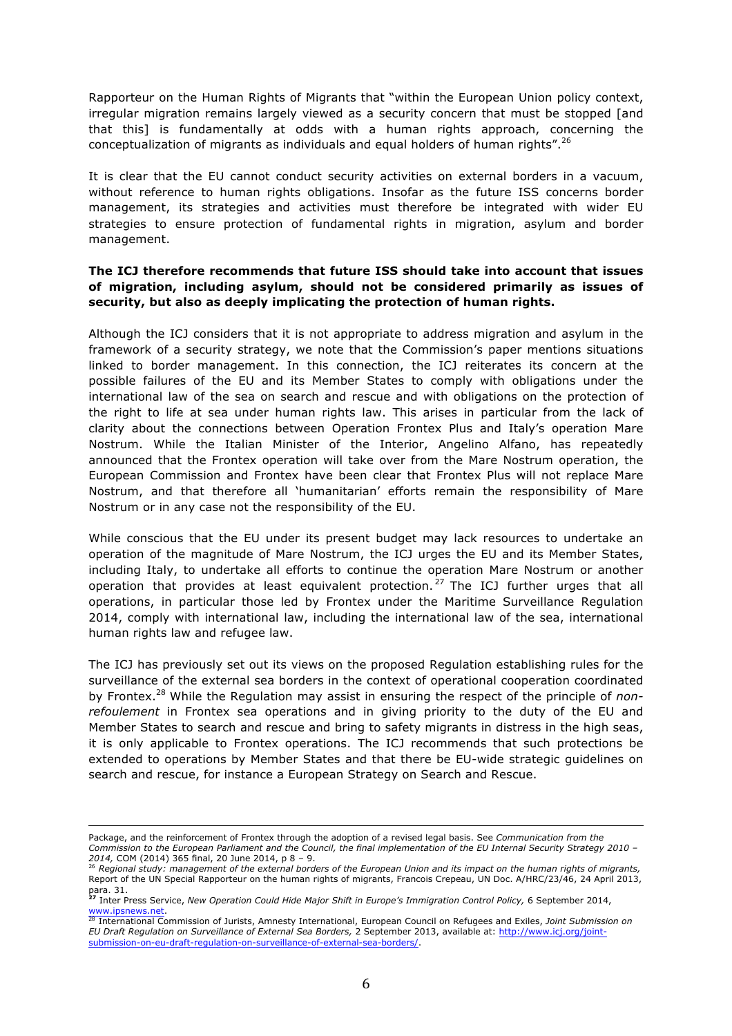Rapporteur on the Human Rights of Migrants that "within the European Union policy context, irregular migration remains largely viewed as a security concern that must be stopped [and that this] is fundamentally at odds with a human rights approach, concerning the conceptualization of migrants as individuals and equal holders of human rights".<sup>26</sup>

It is clear that the EU cannot conduct security activities on external borders in a vacuum, without reference to human rights obligations. Insofar as the future ISS concerns border management, its strategies and activities must therefore be integrated with wider EU strategies to ensure protection of fundamental rights in migration, asylum and border management.

# **The ICJ therefore recommends that future ISS should take into account that issues of migration, including asylum, should not be considered primarily as issues of security, but also as deeply implicating the protection of human rights.**

Although the ICJ considers that it is not appropriate to address migration and asylum in the framework of a security strategy, we note that the Commission's paper mentions situations linked to border management. In this connection, the ICJ reiterates its concern at the possible failures of the EU and its Member States to comply with obligations under the international law of the sea on search and rescue and with obligations on the protection of the right to life at sea under human rights law. This arises in particular from the lack of clarity about the connections between Operation Frontex Plus and Italy's operation Mare Nostrum. While the Italian Minister of the Interior, Angelino Alfano, has repeatedly announced that the Frontex operation will take over from the Mare Nostrum operation, the European Commission and Frontex have been clear that Frontex Plus will not replace Mare Nostrum, and that therefore all 'humanitarian' efforts remain the responsibility of Mare Nostrum or in any case not the responsibility of the EU.

While conscious that the EU under its present budget may lack resources to undertake an operation of the magnitude of Mare Nostrum, the ICJ urges the EU and its Member States, including Italy, to undertake all efforts to continue the operation Mare Nostrum or another operation that provides at least equivalent protection.<sup>27</sup> The ICJ further urges that all operations, in particular those led by Frontex under the Maritime Surveillance Regulation 2014, comply with international law, including the international law of the sea, international human rights law and refugee law.

The ICJ has previously set out its views on the proposed Regulation establishing rules for the surveillance of the external sea borders in the context of operational cooperation coordinated by Frontex.28 While the Regulation may assist in ensuring the respect of the principle of *nonrefoulement* in Frontex sea operations and in giving priority to the duty of the EU and Member States to search and rescue and bring to safety migrants in distress in the high seas, it is only applicable to Frontex operations. The ICJ recommends that such protections be extended to operations by Member States and that there be EU-wide strategic guidelines on search and rescue, for instance a European Strategy on Search and Rescue.

<u> 1989 - Andrea Santa Andrea Andrea Andrea Andrea Andrea Andrea Andrea Andrea Andrea Andrea Andrea Andrea Andr</u>

Package, and the reinforcement of Frontex through the adoption of a revised legal basis. See *Communication from the Commission to the European Parliament and the Council, the final implementation of the EU Internal Security Strategy 2010 – 2014,* COM (2014) 365 final, 20 June 2014, p 8 – 9. 26 *Regional study: management of the external borders of the European Union and its impact on the human rights of migrants,* 

Report of the UN Special Rapporteur on the human rights of migrants, Francois Crepeau, UN Doc. A/HRC/23/46, 24 April 2013,

para. 31. **<sup>27</sup>** Inter Press Service, *New Operation Could Hide Major Shift in Europe's Immigration Control Policy,* 6 September 2014,

www.ipsnews.net. 28 International Commission of Jurists, Amnesty International, European Council on Refugees and Exiles, *Joint Submission on EU Draft Regulation on Surveillance of External Sea Borders,* 2 September 2013, available at: http://www.icj.org/jointsubmission-on-eu-draft-regulation-on-surveillance-of-external-sea-borders/.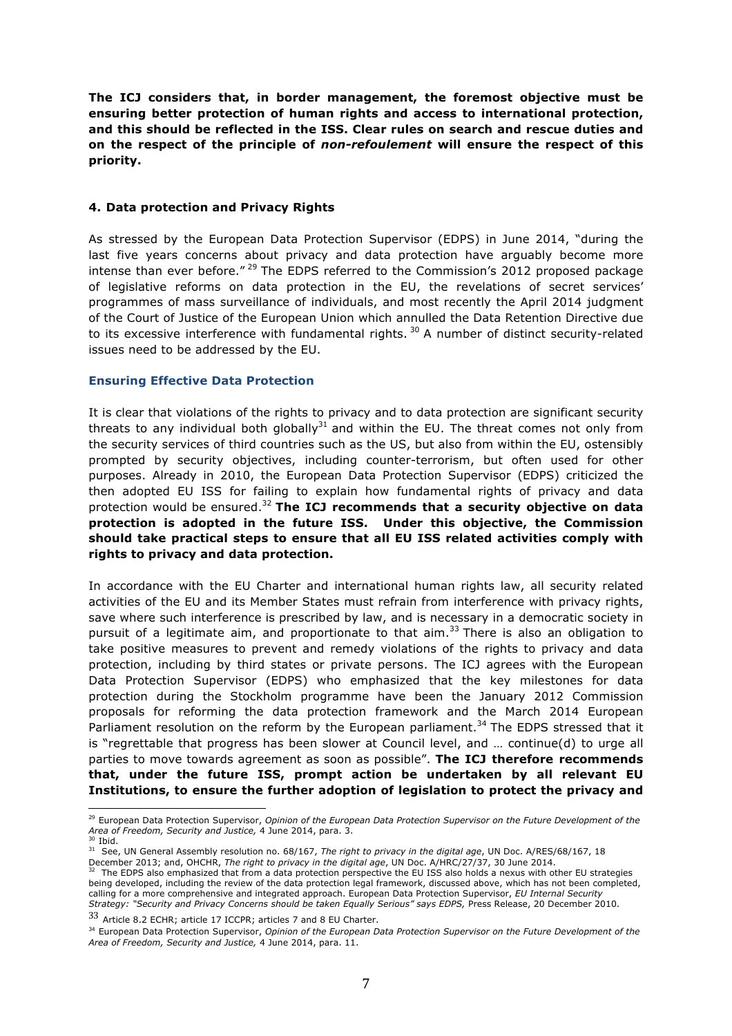**The ICJ considers that, in border management, the foremost objective must be ensuring better protection of human rights and access to international protection, and this should be reflected in the ISS. Clear rules on search and rescue duties and on the respect of the principle of** *non-refoulement* **will ensure the respect of this priority.**

### **4. Data protection and Privacy Rights**

As stressed by the European Data Protection Supervisor (EDPS) in June 2014, "during the last five years concerns about privacy and data protection have arguably become more intense than ever before." $^{29}$  The EDPS referred to the Commission's 2012 proposed package of legislative reforms on data protection in the EU, the revelations of secret services' programmes of mass surveillance of individuals, and most recently the April 2014 judgment of the Court of Justice of the European Union which annulled the Data Retention Directive due to its excessive interference with fundamental rights.<sup>30</sup> A number of distinct security-related issues need to be addressed by the EU.

## **Ensuring Effective Data Protection**

It is clear that violations of the rights to privacy and to data protection are significant security threats to any individual both globally $31$  and within the EU. The threat comes not only from the security services of third countries such as the US, but also from within the EU, ostensibly prompted by security objectives, including counter-terrorism, but often used for other purposes. Already in 2010, the European Data Protection Supervisor (EDPS) criticized the then adopted EU ISS for failing to explain how fundamental rights of privacy and data protection would be ensured.<sup>32</sup> **The ICJ recommends that a security objective on data protection is adopted in the future ISS. Under this objective, the Commission should take practical steps to ensure that all EU ISS related activities comply with rights to privacy and data protection.**

In accordance with the EU Charter and international human rights law, all security related activities of the EU and its Member States must refrain from interference with privacy rights, save where such interference is prescribed by law, and is necessary in a democratic society in pursuit of a legitimate aim, and proportionate to that aim.<sup>33</sup> There is also an obligation to take positive measures to prevent and remedy violations of the rights to privacy and data protection, including by third states or private persons. The ICJ agrees with the European Data Protection Supervisor (EDPS) who emphasized that the key milestones for data protection during the Stockholm programme have been the January 2012 Commission proposals for reforming the data protection framework and the March 2014 European Parliament resolution on the reform by the European parliament.<sup>34</sup> The EDPS stressed that it is "regrettable that progress has been slower at Council level, and … continue(d) to urge all parties to move towards agreement as soon as possible". **The ICJ therefore recommends that, under the future ISS, prompt action be undertaken by all relevant EU Institutions, to ensure the further adoption of legislation to protect the privacy and**

<sup>29</sup> European Data Protection Supervisor, *Opinion of the European Data Protection Supervisor on the Future Development of the Area of Freedom, Security and Justice, 4 June 2014, para. 3.*<br><sup>30</sup> Ibid. 31 See, UN General Assembly resolution no. 68/167, *The right to privacy in the digital age*, UN Doc. A/RES/68/167, 18

December 2013; and, OHCHR, *The right to privacy in the digital age*, UN Doc. A/HRC/27/37, 30 June 2014.<br><sup>32</sup> The FDPS also emphasized that from a data against the digital age, UN Doc. A/HRC/27/37, 30 June 2014.

<sup>32</sup> The EDPS also emphasized that from a data protection perspective the EU ISS also holds a nexus with other EU strategies being developed, including the review of the data protection legal framework, discussed above, which has not been completed, calling for a more comprehensive and integrated approach. European Data Protection Supervisor, *EU Internal Security Strategy: "Security and Privacy Concerns should be taken Equally Serious" says EDPS,* Press Release, 20 December 2010.

<sup>33</sup> Article 8.2 ECHR; article 17 ICCPR; articles 7 and 8 EU Charter.

<sup>&</sup>lt;sup>34</sup> European Data Protection Supervisor, *Opinion of the European Data Protection Supervisor on the Future Development of the Area of Freedom, Security and Justice,* 4 June 2014, para. 11.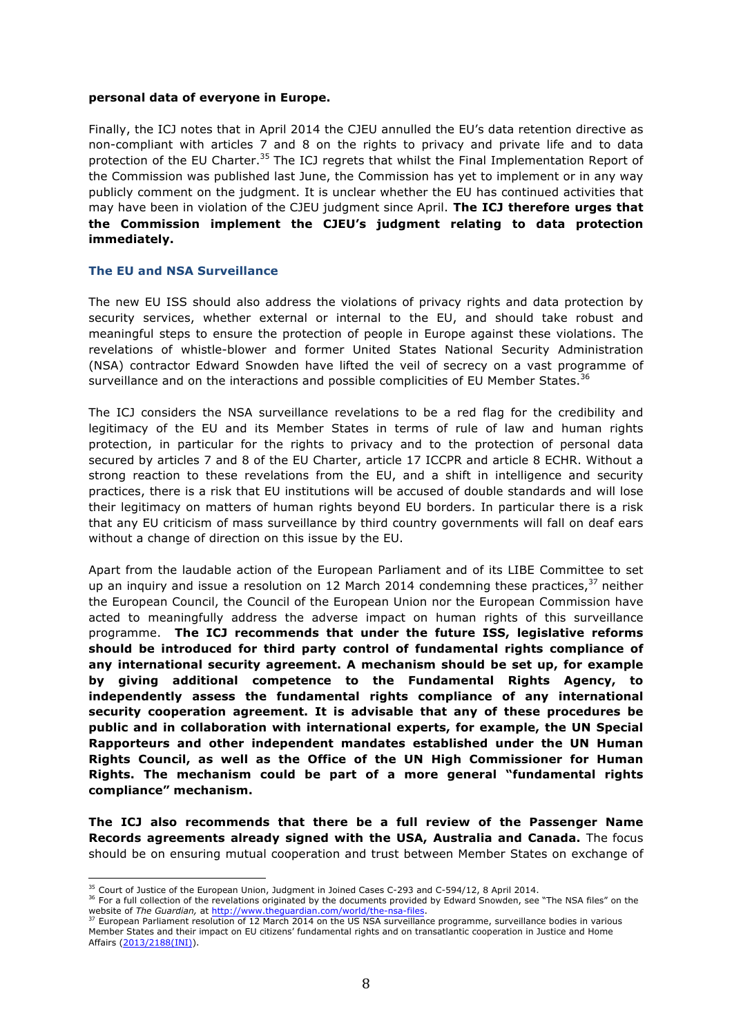#### **personal data of everyone in Europe.**

Finally, the ICJ notes that in April 2014 the CJEU annulled the EU's data retention directive as non-compliant with articles 7 and 8 on the rights to privacy and private life and to data protection of the EU Charter.<sup>35</sup> The ICJ regrets that whilst the Final Implementation Report of the Commission was published last June, the Commission has yet to implement or in any way publicly comment on the judgment. It is unclear whether the EU has continued activities that may have been in violation of the CJEU judgment since April. **The ICJ therefore urges that the Commission implement the CJEU's judgment relating to data protection immediately.**

#### **The EU and NSA Surveillance**

The new EU ISS should also address the violations of privacy rights and data protection by security services, whether external or internal to the EU, and should take robust and meaningful steps to ensure the protection of people in Europe against these violations. The revelations of whistle-blower and former United States National Security Administration (NSA) contractor Edward Snowden have lifted the veil of secrecy on a vast programme of surveillance and on the interactions and possible complicities of EU Member States. $36$ 

The ICJ considers the NSA surveillance revelations to be a red flag for the credibility and legitimacy of the EU and its Member States in terms of rule of law and human rights protection, in particular for the rights to privacy and to the protection of personal data secured by articles 7 and 8 of the EU Charter, article 17 ICCPR and article 8 ECHR. Without a strong reaction to these revelations from the EU, and a shift in intelligence and security practices, there is a risk that EU institutions will be accused of double standards and will lose their legitimacy on matters of human rights beyond EU borders. In particular there is a risk that any EU criticism of mass surveillance by third country governments will fall on deaf ears without a change of direction on this issue by the EU.

Apart from the laudable action of the European Parliament and of its LIBE Committee to set up an inquiry and issue a resolution on 12 March 2014 condemning these practices, $37$  neither the European Council, the Council of the European Union nor the European Commission have acted to meaningfully address the adverse impact on human rights of this surveillance programme. **The ICJ recommends that under the future ISS, legislative reforms should be introduced for third party control of fundamental rights compliance of any international security agreement. A mechanism should be set up, for example by giving additional competence to the Fundamental Rights Agency, to independently assess the fundamental rights compliance of any international security cooperation agreement. It is advisable that any of these procedures be public and in collaboration with international experts, for example, the UN Special Rapporteurs and other independent mandates established under the UN Human Rights Council, as well as the Office of the UN High Commissioner for Human Rights. The mechanism could be part of a more general "fundamental rights compliance" mechanism.**

**The ICJ also recommends that there be a full review of the Passenger Name Records agreements already signed with the USA, Australia and Canada.** The focus should be on ensuring mutual cooperation and trust between Member States on exchange of

<sup>&</sup>lt;sup>35</sup> Court of Justice of the European Union, Judgment in Joined Cases C-293 and C-594/12, 8 April 2014.<br><sup>36</sup> For a full collection of the revelations originated by the documents provided by Edward Snowden, see "The NSA fil website of *The Guardian,* at http://www.theguardian.com/world/the-nsa-files.<br><sup>37</sup> European Parliament resolution of 12 March 2014 on the US NSA surveillance programme, surveillance bodies in various <sup>37</sup> European Parliame

Member States and their impact on EU citizens' fundamental rights and on transatlantic cooperation in Justice and Home Affairs (2013/2188(INI)).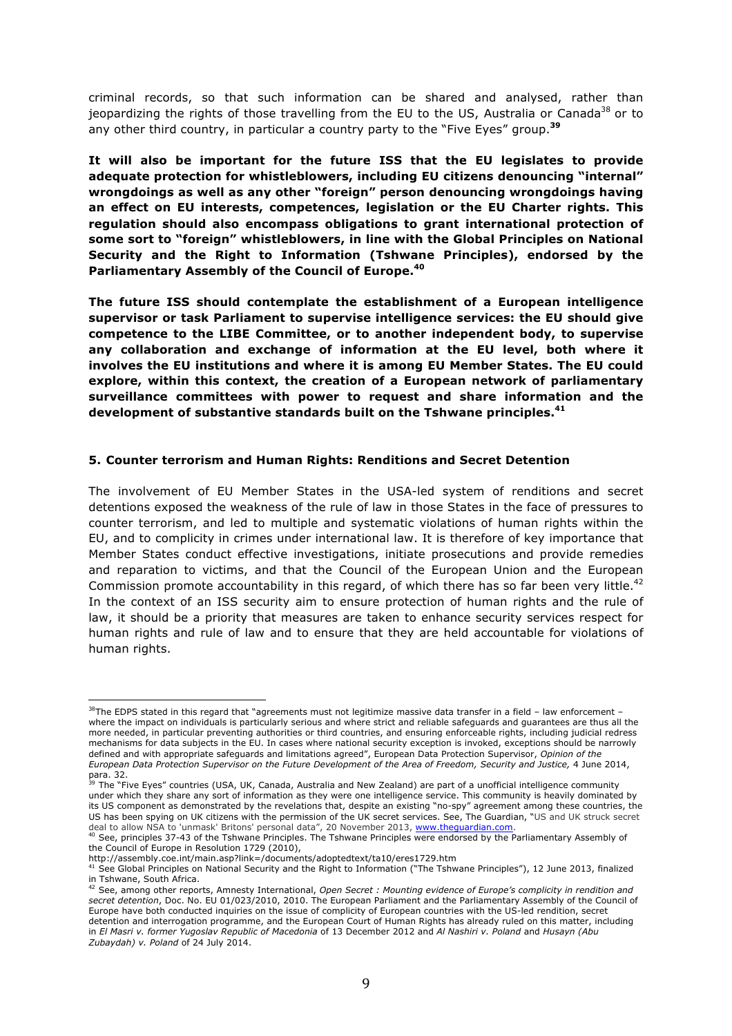criminal records, so that such information can be shared and analysed, rather than jeopardizing the rights of those travelling from the EU to the US, Australia or Canada<sup>38</sup> or to any other third country, in particular a country party to the "Five Eyes" group.**<sup>39</sup>**

**It will also be important for the future ISS that the EU legislates to provide adequate protection for whistleblowers, including EU citizens denouncing "internal" wrongdoings as well as any other "foreign" person denouncing wrongdoings having an effect on EU interests, competences, legislation or the EU Charter rights. This regulation should also encompass obligations to grant international protection of some sort to "foreign" whistleblowers, in line with the Global Principles on National Security and the Right to Information (Tshwane Principles), endorsed by the Parliamentary Assembly of the Council of Europe. 40**

**The future ISS should contemplate the establishment of a European intelligence supervisor or task Parliament to supervise intelligence services: the EU should give competence to the LIBE Committee, or to another independent body, to supervise any collaboration and exchange of information at the EU level, both where it involves the EU institutions and where it is among EU Member States. The EU could explore, within this context, the creation of a European network of parliamentary surveillance committees with power to request and share information and the development of substantive standards built on the Tshwane principles.41**

### **5. Counter terrorism and Human Rights: Renditions and Secret Detention**

The involvement of EU Member States in the USA-led system of renditions and secret detentions exposed the weakness of the rule of law in those States in the face of pressures to counter terrorism, and led to multiple and systematic violations of human rights within the EU, and to complicity in crimes under international law. It is therefore of key importance that Member States conduct effective investigations, initiate prosecutions and provide remedies and reparation to victims, and that the Council of the European Union and the European Commission promote accountability in this regard, of which there has so far been very little.<sup>42</sup> In the context of an ISS security aim to ensure protection of human rights and the rule of law, it should be a priority that measures are taken to enhance security services respect for human rights and rule of law and to ensure that they are held accountable for violations of human rights.

  $38$ The EDPS stated in this regard that "agreements must not legitimize massive data transfer in a field – law enforcement where the impact on individuals is particularly serious and where strict and reliable safeguards and guarantees are thus all the more needed, in particular preventing authorities or third countries, and ensuring enforceable rights, including judicial redress mechanisms for data subjects in the EU. In cases where national security exception is invoked, exceptions should be narrowly defined and with appropriate safeguards and limitations agreed", European Data Protection Supervisor, *Opinion of the European Data Protection Supervisor on the Future Development of the Area of Freedom, Security and Justice,* 4 June 2014,

para. 32.<br><sup>39</sup> The "Five Eyes" countries (USA, UK, Canada, Australia and New Zealand) are part of a unofficial intelligence community under which they share any sort of information as they were one intelligence service. This community is heavily dominated by its US component as demonstrated by the revelations that, despite an existing "no-spy" agreement among these countries, the US has been spying on UK citizens with the permission of the UK secret services. See, The Guardian, "US and UK struck secret

deal to allow NSA to 'unmask' Britons' personal data", 20 November 2013, www.theguardian.com.<br><sup>40</sup> See, principles 37-43 of the Tshwane Principles. The Tshwane Principles were endorsed by the Parliamentary Assembly of the Council of Europe in Resolution 1729 (2010),

http://assembly.coe.int/main.asp?link=/documents/adoptedtext/ta10/eres1729.htm<br><sup>41</sup> See Global Principles on National Security and the Right to Information ("The Tshwane Principles"), 12 June 2013, finalized in Tshwane, South Africa. <sup>42</sup> See, among other reports, Amnesty International, *Open Secret : Mounting evidence of Europe's complicity in rendition and* 

*secret detention*, Doc. No. EU 01/023/2010, 2010. The European Parliament and the Parliamentary Assembly of the Council of Europe have both conducted inquiries on the issue of complicity of European countries with the US-led rendition, secret detention and interrogation programme, and the European Court of Human Rights has already ruled on this matter, including in *El Masri v. former Yugoslav Republic of Macedonia* of 13 December 2012 and *Al Nashiri v. Poland* and *Husayn (Abu Zubaydah) v. Poland* of 24 July 2014.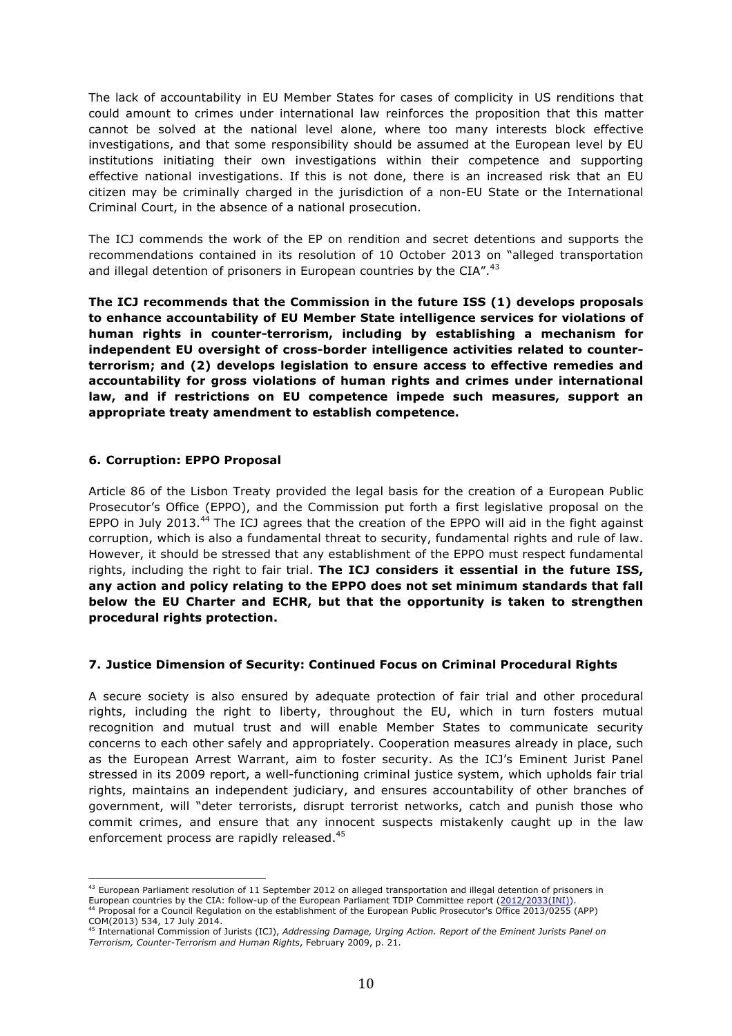The lack of accountability in EU Member States for cases of complicity in US renditions that could amount to crimes under international law reinforces the proposition that this matter cannot be solved at the national level alone, where too many interests block effective investigations, and that some responsibility should be assumed at the European level by EU institutions initiating their own investigations within their competence and supporting effective national investigations. If this is not done, there is an increased risk that an EU citizen may be criminally charged in the jurisdiction of a non-EU State or the International Criminal Court, in the absence of a national prosecution.

The ICJ commends the work of the EP on rendition and secret detentions and supports the recommendations contained in its resolution of 10 October 2013 on "alleged transportation and illegal detention of prisoners in European countries by the  $CIA''$ .<sup>43</sup>

**The ICJ recommends that the Commission in the future ISS (1) develops proposals to enhance accountability of EU Member State intelligence services for violations of human rights in counter-terrorism, including by establishing a mechanism for independent EU oversight of cross-border intelligence activities related to counterterrorism; and (2) develops legislation to ensure access to effective remedies and accountability for gross violations of human rights and crimes under international law, and if restrictions on EU competence impede such measures, support an appropriate treaty amendment to establish competence.** 

## **6. Corruption: EPPO Proposal**

Article 86 of the Lisbon Treaty provided the legal basis for the creation of a European Public Prosecutor's Office (EPPO), and the Commission put forth a first legislative proposal on the EPPO in July 2013.<sup>44</sup> The ICJ agrees that the creation of the EPPO will aid in the fight against corruption, which is also a fundamental threat to security, fundamental rights and rule of law. However, it should be stressed that any establishment of the EPPO must respect fundamental rights, including the right to fair trial. **The ICJ considers it essential in the future ISS, any action and policy relating to the EPPO does not set minimum standards that fall below the EU Charter and ECHR, but that the opportunity is taken to strengthen procedural rights protection.**

## **7. Justice Dimension of Security: Continued Focus on Criminal Procedural Rights**

A secure society is also ensured by adequate protection of fair trial and other procedural rights, including the right to liberty, throughout the EU, which in turn fosters mutual recognition and mutual trust and will enable Member States to communicate security concerns to each other safely and appropriately. Cooperation measures already in place, such as the European Arrest Warrant, aim to foster security. As the ICJ's Eminent Jurist Panel stressed in its 2009 report, a well-functioning criminal justice system, which upholds fair trial rights, maintains an independent judiciary, and ensures accountability of other branches of government, will "deter terrorists, disrupt terrorist networks, catch and punish those who commit crimes, and ensure that any innocent suspects mistakenly caught up in the law enforcement process are rapidly released.<sup>45</sup>

 $43$  European Parliament resolution of 11 September 2012 on alleged transportation and illegal detention of prisoners in European countries by the CIA: follow-up of the European Parliament TDIP Committee report (2012/2033(INI)).<br><sup>44</sup> Proposal for a Council Regulation on the establishment of the European Public Prosecutor's Office 2013/0255 (

COM(2013) 534, 17 July 2014.<br><sup>45</sup> International Commission of Jurists (ICJ), *Addressing Damage, Urging Action. Report of the Eminent Jurists Panel on Terrorism, Counter-Terrorism and Human Rights*, February 2009, p. 21.